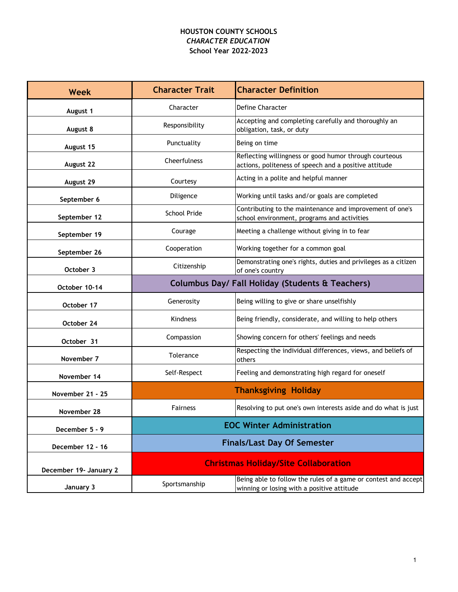## **HOUSTON COUNTY SCHOOLS** *CHARACTER EDUCATION* **School Year 2022-2023**

| <b>Week</b>            | <b>Character Trait</b>                                      | <b>Character Definition</b>                                                                                     |
|------------------------|-------------------------------------------------------------|-----------------------------------------------------------------------------------------------------------------|
| August 1               | Character                                                   | Define Character                                                                                                |
| August 8               | Responsibility                                              | Accepting and completing carefully and thoroughly an<br>obligation, task, or duty                               |
| August 15              | Punctuality                                                 | Being on time                                                                                                   |
| August 22              | Cheerfulness                                                | Reflecting willingness or good humor through courteous<br>actions, politeness of speech and a positive attitude |
| August 29              | Courtesy                                                    | Acting in a polite and helpful manner                                                                           |
| September 6            | Diligence                                                   | Working until tasks and/or goals are completed                                                                  |
| September 12           | School Pride                                                | Contributing to the maintenance and improvement of one's<br>school environment, programs and activities         |
| September 19           | Courage                                                     | Meeting a challenge without giving in to fear                                                                   |
| September 26           | Cooperation                                                 | Working together for a common goal                                                                              |
| October 3              | Citizenship                                                 | Demonstrating one's rights, duties and privileges as a citizen<br>of one's country                              |
| October 10-14          | <b>Columbus Day/ Fall Holiday (Students &amp; Teachers)</b> |                                                                                                                 |
| October 17             | Generosity                                                  | Being willing to give or share unselfishly                                                                      |
| October 24             | <b>Kindness</b>                                             | Being friendly, considerate, and willing to help others                                                         |
| October 31             | Compassion                                                  | Showing concern for others' feelings and needs                                                                  |
| November 7             | Tolerance                                                   | Respecting the individual differences, views, and beliefs of<br>others                                          |
| November 14            | Self-Respect                                                | Feeling and demonstrating high regard for oneself                                                               |
| November 21 - 25       |                                                             | <b>Thanksgiving Holiday</b>                                                                                     |
| November 28            | <b>Fairness</b>                                             | Resolving to put one's own interests aside and do what is just                                                  |
| December 5 - 9         | <b>EOC Winter Administration</b>                            |                                                                                                                 |
| December 12 - 16       | <b>Finals/Last Day Of Semester</b>                          |                                                                                                                 |
| December 19- January 2 | <b>Christmas Holiday/Site Collaboration</b>                 |                                                                                                                 |
| January 3              | Sportsmanship                                               | Being able to follow the rules of a game or contest and accept<br>winning or losing with a positive attitude    |